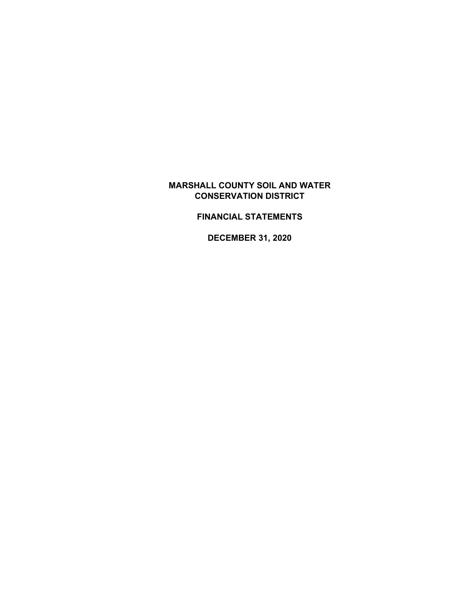# **MARSHALL COUNTY SOIL AND WATER CONSERVATION DISTRICT**

**FINANCIAL STATEMENTS**

**DECEMBER 31, 2020**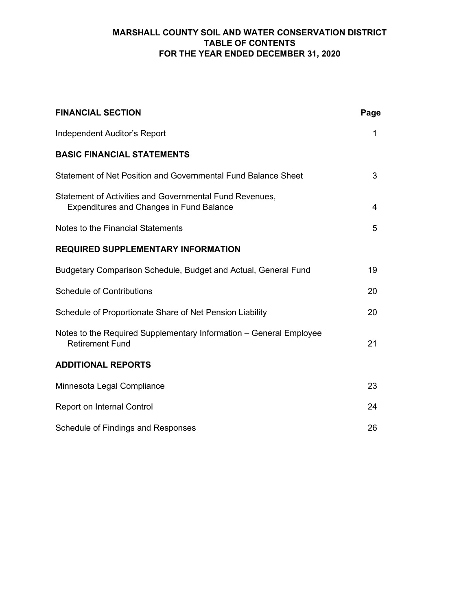# **MARSHALL COUNTY SOIL AND WATER CONSERVATION DISTRICT TABLE OF CONTENTS FOR THE YEAR ENDED DECEMBER 31, 2020**

| <b>FINANCIAL SECTION</b>                                                                                   | Page        |
|------------------------------------------------------------------------------------------------------------|-------------|
| Independent Auditor's Report                                                                               | $\mathbf 1$ |
| <b>BASIC FINANCIAL STATEMENTS</b>                                                                          |             |
| Statement of Net Position and Governmental Fund Balance Sheet                                              | 3           |
| Statement of Activities and Governmental Fund Revenues,<br><b>Expenditures and Changes in Fund Balance</b> | 4           |
| Notes to the Financial Statements                                                                          | 5           |
| <b>REQUIRED SUPPLEMENTARY INFORMATION</b>                                                                  |             |
| Budgetary Comparison Schedule, Budget and Actual, General Fund                                             | 19          |
| <b>Schedule of Contributions</b>                                                                           | 20          |
| Schedule of Proportionate Share of Net Pension Liability                                                   | 20          |
| Notes to the Required Supplementary Information - General Employee<br><b>Retirement Fund</b>               | 21          |
| <b>ADDITIONAL REPORTS</b>                                                                                  |             |
| Minnesota Legal Compliance                                                                                 | 23          |
| Report on Internal Control                                                                                 | 24          |
| Schedule of Findings and Responses                                                                         | 26          |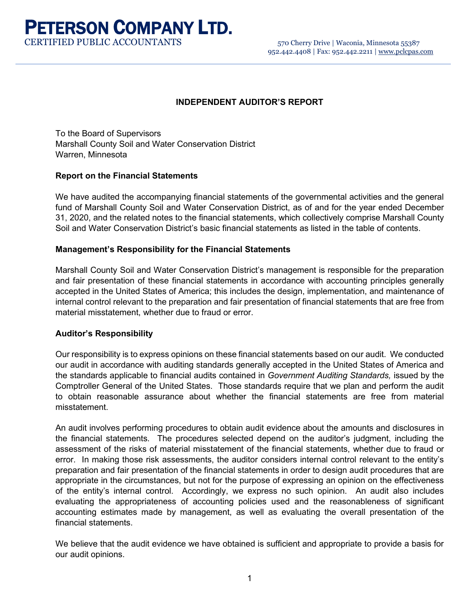**PETERSON COMPANY LTD.**<br>CERTIFIED PUBLIC ACCOUNTANTS 570 Cherry Drive | Waconia, Minnesota 55387

# **INDEPENDENT AUDITOR'S REPORT**

To the Board of Supervisors Marshall County Soil and Water Conservation District Warren, Minnesota

## **Report on the Financial Statements**

We have audited the accompanying financial statements of the governmental activities and the general fund of Marshall County Soil and Water Conservation District, as of and for the year ended December 31, 2020, and the related notes to the financial statements, which collectively comprise Marshall County Soil and Water Conservation District's basic financial statements as listed in the table of contents.

## **Management's Responsibility for the Financial Statements**

Marshall County Soil and Water Conservation District's management is responsible for the preparation and fair presentation of these financial statements in accordance with accounting principles generally accepted in the United States of America; this includes the design, implementation, and maintenance of internal control relevant to the preparation and fair presentation of financial statements that are free from material misstatement, whether due to fraud or error.

#### **Auditor's Responsibility**

Our responsibility is to express opinions on these financial statements based on our audit. We conducted our audit in accordance with auditing standards generally accepted in the United States of America and the standards applicable to financial audits contained in *Government Auditing Standards,* issued by the Comptroller General of the United States. Those standards require that we plan and perform the audit to obtain reasonable assurance about whether the financial statements are free from material misstatement.

An audit involves performing procedures to obtain audit evidence about the amounts and disclosures in the financial statements. The procedures selected depend on the auditor's judgment, including the assessment of the risks of material misstatement of the financial statements, whether due to fraud or error. In making those risk assessments, the auditor considers internal control relevant to the entity's preparation and fair presentation of the financial statements in order to design audit procedures that are appropriate in the circumstances, but not for the purpose of expressing an opinion on the effectiveness of the entity's internal control. Accordingly, we express no such opinion. An audit also includes evaluating the appropriateness of accounting policies used and the reasonableness of significant accounting estimates made by management, as well as evaluating the overall presentation of the financial statements.

We believe that the audit evidence we have obtained is sufficient and appropriate to provide a basis for our audit opinions.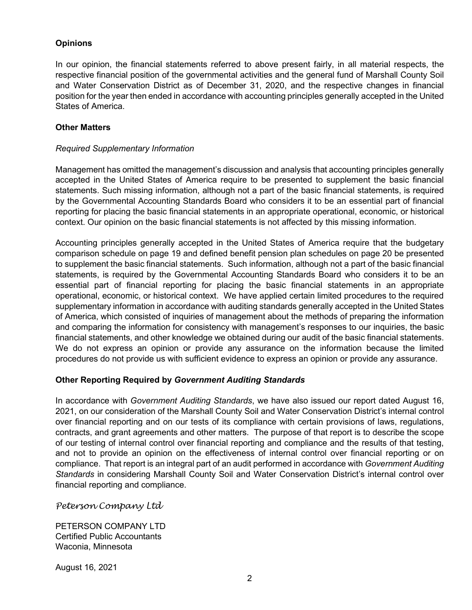# **Opinions**

In our opinion, the financial statements referred to above present fairly, in all material respects, the respective financial position of the governmental activities and the general fund of Marshall County Soil and Water Conservation District as of December 31, 2020, and the respective changes in financial position for the year then ended in accordance with accounting principles generally accepted in the United States of America.

# **Other Matters**

## *Required Supplementary Information*

Management has omitted the management's discussion and analysis that accounting principles generally accepted in the United States of America require to be presented to supplement the basic financial statements. Such missing information, although not a part of the basic financial statements, is required by the Governmental Accounting Standards Board who considers it to be an essential part of financial reporting for placing the basic financial statements in an appropriate operational, economic, or historical context. Our opinion on the basic financial statements is not affected by this missing information.

Accounting principles generally accepted in the United States of America require that the budgetary comparison schedule on page 19 and defined benefit pension plan schedules on page 20 be presented to supplement the basic financial statements. Such information, although not a part of the basic financial statements, is required by the Governmental Accounting Standards Board who considers it to be an essential part of financial reporting for placing the basic financial statements in an appropriate operational, economic, or historical context. We have applied certain limited procedures to the required supplementary information in accordance with auditing standards generally accepted in the United States of America, which consisted of inquiries of management about the methods of preparing the information and comparing the information for consistency with management's responses to our inquiries, the basic financial statements, and other knowledge we obtained during our audit of the basic financial statements. We do not express an opinion or provide any assurance on the information because the limited procedures do not provide us with sufficient evidence to express an opinion or provide any assurance.

# **Other Reporting Required by** *Government Auditing Standards*

In accordance with *Government Auditing Standards*, we have also issued our report dated August 16, 2021, on our consideration of the Marshall County Soil and Water Conservation District's internal control over financial reporting and on our tests of its compliance with certain provisions of laws, regulations, contracts, and grant agreements and other matters. The purpose of that report is to describe the scope of our testing of internal control over financial reporting and compliance and the results of that testing, and not to provide an opinion on the effectiveness of internal control over financial reporting or on compliance. That report is an integral part of an audit performed in accordance with *Government Auditing Standards* in considering Marshall County Soil and Water Conservation District's internal control over financial reporting and compliance.

*Peterson Company Ltd*

PETERSON COMPANY LTD Certified Public Accountants Waconia, Minnesota

August 16, 2021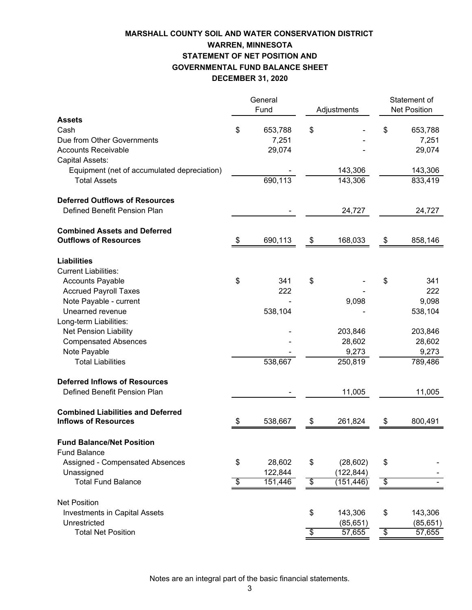# **MARSHALL COUNTY SOIL AND WATER CONSERVATION DISTRICT WARREN, MINNESOTA STATEMENT OF NET POSITION AND GOVERNMENTAL FUND BALANCE SHEET DECEMBER 31, 2020**

|                                                                                                                                      |    | General<br>Fund            |                 | Adjustments             | Statement of<br><b>Net Position</b> |                                |
|--------------------------------------------------------------------------------------------------------------------------------------|----|----------------------------|-----------------|-------------------------|-------------------------------------|--------------------------------|
| <b>Assets</b><br>Cash<br>Due from Other Governments<br><b>Accounts Receivable</b>                                                    | \$ | 653,788<br>7,251<br>29,074 | \$              |                         | \$                                  | 653,788<br>7,251<br>29,074     |
| Capital Assets:<br>Equipment (net of accumulated depreciation)<br><b>Total Assets</b>                                                |    | 690,113                    |                 | 143,306<br>143,306      |                                     | 143,306<br>833,419             |
| <b>Deferred Outflows of Resources</b><br>Defined Benefit Pension Plan                                                                |    |                            |                 | 24,727                  |                                     | 24,727                         |
| <b>Combined Assets and Deferred</b><br><b>Outflows of Resources</b>                                                                  | \$ | 690,113                    | \$              | 168,033                 | \$                                  | 858,146                        |
| <b>Liabilities</b>                                                                                                                   |    |                            |                 |                         |                                     |                                |
| <b>Current Liabilities:</b><br><b>Accounts Payable</b><br><b>Accrued Payroll Taxes</b><br>Note Payable - current<br>Unearned revenue | \$ | 341<br>222<br>538,104      | \$              | 9,098                   | \$                                  | 341<br>222<br>9,098<br>538,104 |
| Long-term Liabilities:<br>Net Pension Liability<br><b>Compensated Absences</b>                                                       |    |                            |                 | 203,846<br>28,602       |                                     | 203,846<br>28,602              |
| Note Payable<br><b>Total Liabilities</b>                                                                                             |    | 538,667                    |                 | 9,273<br>250,819        |                                     | 9,273<br>789,486               |
| <b>Deferred Inflows of Resources</b><br>Defined Benefit Pension Plan                                                                 |    |                            |                 | 11,005                  |                                     | 11,005                         |
| <b>Combined Liabilities and Deferred</b><br><b>Inflows of Resources</b>                                                              | S  | 538,667                    | \$              | 261,824                 | \$                                  | 800,491                        |
| <b>Fund Balance/Net Position</b><br><b>Fund Balance</b>                                                                              |    |                            |                 |                         |                                     |                                |
| Assigned - Compensated Absences<br>Unassigned                                                                                        | \$ | 28,602<br>122,844          | \$              | (28, 602)<br>(122, 844) | \$                                  |                                |
| <b>Total Fund Balance</b>                                                                                                            | \$ | 151,446                    | \$              | (151, 446)              | \$                                  |                                |
| <b>Net Position</b><br><b>Investments in Capital Assets</b><br>Unrestricted                                                          |    |                            | \$              | 143,306<br>(85, 651)    | \$                                  | 143,306<br>(85, 651)           |
| <b>Total Net Position</b>                                                                                                            |    |                            | $\overline{\$}$ | 57,655                  | $\overline{\$}$                     | 57,655                         |

Notes are an integral part of the basic financial statements.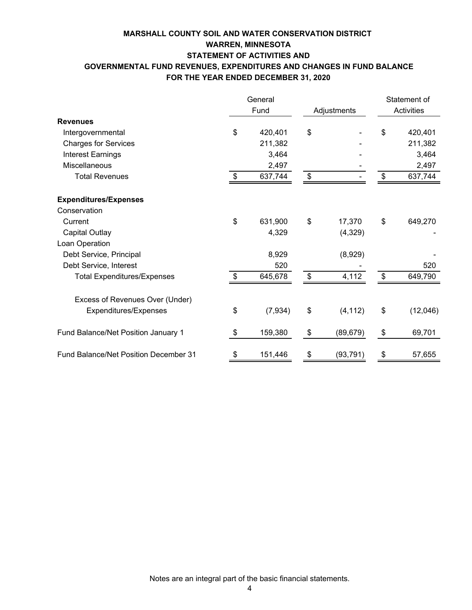# **MARSHALL COUNTY SOIL AND WATER CONSERVATION DISTRICT WARREN, MINNESOTA STATEMENT OF ACTIVITIES AND GOVERNMENTAL FUND REVENUES, EXPENDITURES AND CHANGES IN FUND BALANCE FOR THE YEAR ENDED DECEMBER 31, 2020**

|                                       | General<br>Fund |         | Adjustments |           | Statement of<br><b>Activities</b> |          |
|---------------------------------------|-----------------|---------|-------------|-----------|-----------------------------------|----------|
| <b>Revenues</b>                       |                 |         |             |           |                                   |          |
| Intergovernmental                     | \$              | 420,401 | \$          |           | \$                                | 420,401  |
| <b>Charges for Services</b>           |                 | 211,382 |             |           |                                   | 211,382  |
| <b>Interest Earnings</b>              |                 | 3,464   |             |           |                                   | 3,464    |
| <b>Miscellaneous</b>                  |                 | 2,497   |             |           |                                   | 2,497    |
| <b>Total Revenues</b>                 | \$              | 637,744 | \$          |           | \$                                | 637,744  |
| <b>Expenditures/Expenses</b>          |                 |         |             |           |                                   |          |
| Conservation                          |                 |         |             |           |                                   |          |
| Current                               | \$              | 631,900 | \$          | 17,370    | \$                                | 649,270  |
| <b>Capital Outlay</b>                 |                 | 4,329   |             | (4,329)   |                                   |          |
| Loan Operation                        |                 |         |             |           |                                   |          |
| Debt Service, Principal               |                 | 8,929   |             | (8,929)   |                                   |          |
| Debt Service, Interest                |                 | 520     |             |           |                                   | 520      |
| <b>Total Expenditures/Expenses</b>    | \$              | 645,678 | \$          | 4,112     | \$                                | 649,790  |
| Excess of Revenues Over (Under)       |                 |         |             |           |                                   |          |
| Expenditures/Expenses                 | \$              | (7,934) | \$          | (4, 112)  | \$                                | (12,046) |
| Fund Balance/Net Position January 1   | \$              | 159,380 | \$          | (89, 679) | \$                                | 69,701   |
| Fund Balance/Net Position December 31 | \$              | 151,446 | \$          | (93, 791) | \$                                | 57,655   |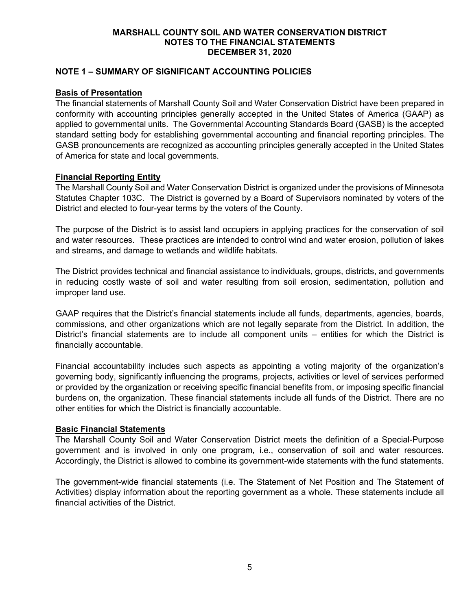# **NOTE 1 – SUMMARY OF SIGNIFICANT ACCOUNTING POLICIES**

# **Basis of Presentation**

The financial statements of Marshall County Soil and Water Conservation District have been prepared in conformity with accounting principles generally accepted in the United States of America (GAAP) as applied to governmental units. The Governmental Accounting Standards Board (GASB) is the accepted standard setting body for establishing governmental accounting and financial reporting principles. The GASB pronouncements are recognized as accounting principles generally accepted in the United States of America for state and local governments.

## **Financial Reporting Entity**

The Marshall County Soil and Water Conservation District is organized under the provisions of Minnesota Statutes Chapter 103C. The District is governed by a Board of Supervisors nominated by voters of the District and elected to four-year terms by the voters of the County.

The purpose of the District is to assist land occupiers in applying practices for the conservation of soil and water resources. These practices are intended to control wind and water erosion, pollution of lakes and streams, and damage to wetlands and wildlife habitats.

The District provides technical and financial assistance to individuals, groups, districts, and governments in reducing costly waste of soil and water resulting from soil erosion, sedimentation, pollution and improper land use.

GAAP requires that the District's financial statements include all funds, departments, agencies, boards, commissions, and other organizations which are not legally separate from the District. In addition, the District's financial statements are to include all component units – entities for which the District is financially accountable.

Financial accountability includes such aspects as appointing a voting majority of the organization's governing body, significantly influencing the programs, projects, activities or level of services performed or provided by the organization or receiving specific financial benefits from, or imposing specific financial burdens on, the organization. These financial statements include all funds of the District. There are no other entities for which the District is financially accountable.

#### **Basic Financial Statements**

The Marshall County Soil and Water Conservation District meets the definition of a Special-Purpose government and is involved in only one program, i.e., conservation of soil and water resources. Accordingly, the District is allowed to combine its government-wide statements with the fund statements.

The government-wide financial statements (i.e. The Statement of Net Position and The Statement of Activities) display information about the reporting government as a whole. These statements include all financial activities of the District.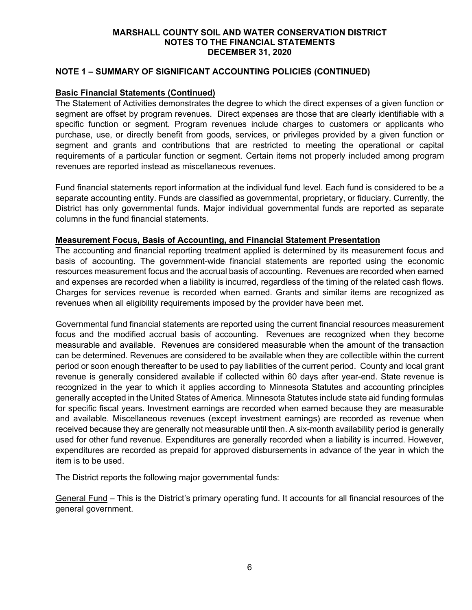## **NOTE 1 – SUMMARY OF SIGNIFICANT ACCOUNTING POLICIES (CONTINUED)**

### **Basic Financial Statements (Continued)**

The Statement of Activities demonstrates the degree to which the direct expenses of a given function or segment are offset by program revenues. Direct expenses are those that are clearly identifiable with a specific function or segment. Program revenues include charges to customers or applicants who purchase, use, or directly benefit from goods, services, or privileges provided by a given function or segment and grants and contributions that are restricted to meeting the operational or capital requirements of a particular function or segment. Certain items not properly included among program revenues are reported instead as miscellaneous revenues.

Fund financial statements report information at the individual fund level. Each fund is considered to be a separate accounting entity. Funds are classified as governmental, proprietary, or fiduciary. Currently, the District has only governmental funds. Major individual governmental funds are reported as separate columns in the fund financial statements.

#### **Measurement Focus, Basis of Accounting, and Financial Statement Presentation**

The accounting and financial reporting treatment applied is determined by its measurement focus and basis of accounting. The government-wide financial statements are reported using the economic resources measurement focus and the accrual basis of accounting. Revenues are recorded when earned and expenses are recorded when a liability is incurred, regardless of the timing of the related cash flows. Charges for services revenue is recorded when earned. Grants and similar items are recognized as revenues when all eligibility requirements imposed by the provider have been met.

Governmental fund financial statements are reported using the current financial resources measurement focus and the modified accrual basis of accounting. Revenues are recognized when they become measurable and available. Revenues are considered measurable when the amount of the transaction can be determined. Revenues are considered to be available when they are collectible within the current period or soon enough thereafter to be used to pay liabilities of the current period. County and local grant revenue is generally considered available if collected within 60 days after year-end. State revenue is recognized in the year to which it applies according to Minnesota Statutes and accounting principles generally accepted in the United States of America. Minnesota Statutes include state aid funding formulas for specific fiscal years. Investment earnings are recorded when earned because they are measurable and available. Miscellaneous revenues (except investment earnings) are recorded as revenue when received because they are generally not measurable until then. A six-month availability period is generally used for other fund revenue. Expenditures are generally recorded when a liability is incurred. However, expenditures are recorded as prepaid for approved disbursements in advance of the year in which the item is to be used.

The District reports the following major governmental funds:

General Fund – This is the District's primary operating fund. It accounts for all financial resources of the general government.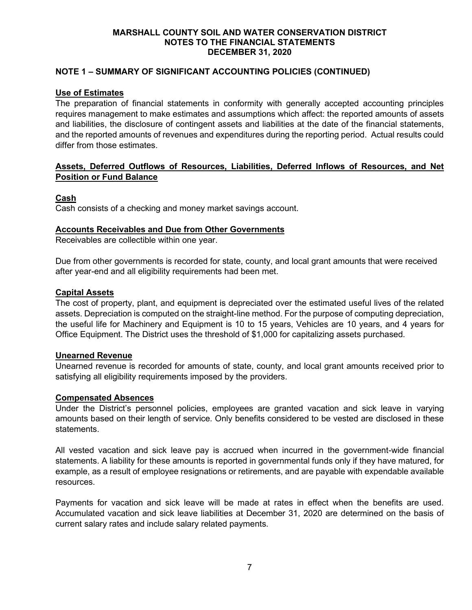## **NOTE 1 – SUMMARY OF SIGNIFICANT ACCOUNTING POLICIES (CONTINUED)**

### **Use of Estimates**

The preparation of financial statements in conformity with generally accepted accounting principles requires management to make estimates and assumptions which affect: the reported amounts of assets and liabilities, the disclosure of contingent assets and liabilities at the date of the financial statements, and the reported amounts of revenues and expenditures during the reporting period. Actual results could differ from those estimates.

# **Assets, Deferred Outflows of Resources, Liabilities, Deferred Inflows of Resources, and Net Position or Fund Balance**

#### **Cash**

Cash consists of a checking and money market savings account.

#### **Accounts Receivables and Due from Other Governments**

Receivables are collectible within one year.

Due from other governments is recorded for state, county, and local grant amounts that were received after year-end and all eligibility requirements had been met.

#### **Capital Assets**

The cost of property, plant, and equipment is depreciated over the estimated useful lives of the related assets. Depreciation is computed on the straight-line method. For the purpose of computing depreciation, the useful life for Machinery and Equipment is 10 to 15 years, Vehicles are 10 years, and 4 years for Office Equipment. The District uses the threshold of \$1,000 for capitalizing assets purchased.

#### **Unearned Revenue**

Unearned revenue is recorded for amounts of state, county, and local grant amounts received prior to satisfying all eligibility requirements imposed by the providers.

#### **Compensated Absences**

Under the District's personnel policies, employees are granted vacation and sick leave in varying amounts based on their length of service. Only benefits considered to be vested are disclosed in these statements.

All vested vacation and sick leave pay is accrued when incurred in the government-wide financial statements. A liability for these amounts is reported in governmental funds only if they have matured, for example, as a result of employee resignations or retirements, and are payable with expendable available resources.

Payments for vacation and sick leave will be made at rates in effect when the benefits are used. Accumulated vacation and sick leave liabilities at December 31, 2020 are determined on the basis of current salary rates and include salary related payments.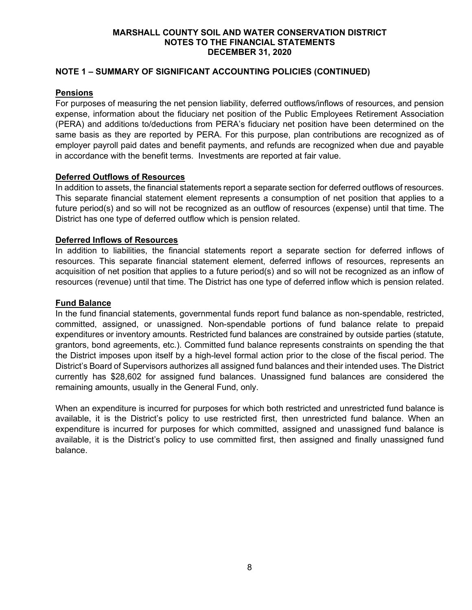## **NOTE 1 – SUMMARY OF SIGNIFICANT ACCOUNTING POLICIES (CONTINUED)**

### **Pensions**

For purposes of measuring the net pension liability, deferred outflows/inflows of resources, and pension expense, information about the fiduciary net position of the Public Employees Retirement Association (PERA) and additions to/deductions from PERA's fiduciary net position have been determined on the same basis as they are reported by PERA. For this purpose, plan contributions are recognized as of employer payroll paid dates and benefit payments, and refunds are recognized when due and payable in accordance with the benefit terms. Investments are reported at fair value.

#### **Deferred Outflows of Resources**

In addition to assets, the financial statements report a separate section for deferred outflows of resources. This separate financial statement element represents a consumption of net position that applies to a future period(s) and so will not be recognized as an outflow of resources (expense) until that time. The District has one type of deferred outflow which is pension related.

#### **Deferred Inflows of Resources**

In addition to liabilities, the financial statements report a separate section for deferred inflows of resources. This separate financial statement element, deferred inflows of resources, represents an acquisition of net position that applies to a future period(s) and so will not be recognized as an inflow of resources (revenue) until that time. The District has one type of deferred inflow which is pension related.

#### **Fund Balance**

In the fund financial statements, governmental funds report fund balance as non-spendable, restricted, committed, assigned, or unassigned. Non-spendable portions of fund balance relate to prepaid expenditures or inventory amounts. Restricted fund balances are constrained by outside parties (statute, grantors, bond agreements, etc.). Committed fund balance represents constraints on spending the that the District imposes upon itself by a high-level formal action prior to the close of the fiscal period. The District's Board of Supervisors authorizes all assigned fund balances and their intended uses. The District currently has \$28,602 for assigned fund balances. Unassigned fund balances are considered the remaining amounts, usually in the General Fund, only.

When an expenditure is incurred for purposes for which both restricted and unrestricted fund balance is available, it is the District's policy to use restricted first, then unrestricted fund balance. When an expenditure is incurred for purposes for which committed, assigned and unassigned fund balance is available, it is the District's policy to use committed first, then assigned and finally unassigned fund balance.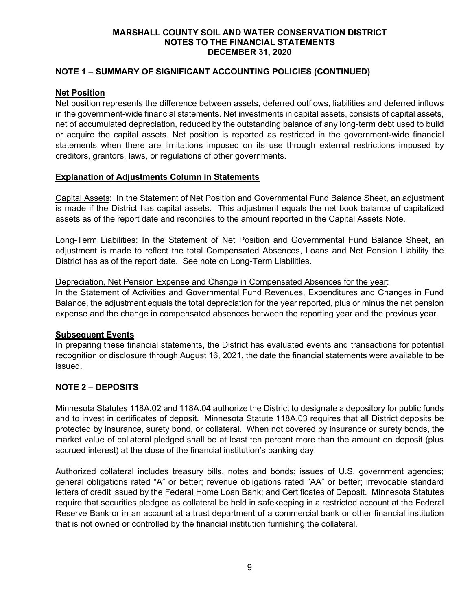## **NOTE 1 – SUMMARY OF SIGNIFICANT ACCOUNTING POLICIES (CONTINUED)**

### **Net Position**

Net position represents the difference between assets, deferred outflows, liabilities and deferred inflows in the government-wide financial statements. Net investments in capital assets, consists of capital assets, net of accumulated depreciation, reduced by the outstanding balance of any long-term debt used to build or acquire the capital assets. Net position is reported as restricted in the government-wide financial statements when there are limitations imposed on its use through external restrictions imposed by creditors, grantors, laws, or regulations of other governments.

#### **Explanation of Adjustments Column in Statements**

Capital Assets: In the Statement of Net Position and Governmental Fund Balance Sheet, an adjustment is made if the District has capital assets. This adjustment equals the net book balance of capitalized assets as of the report date and reconciles to the amount reported in the Capital Assets Note.

Long-Term Liabilities: In the Statement of Net Position and Governmental Fund Balance Sheet, an adjustment is made to reflect the total Compensated Absences, Loans and Net Pension Liability the District has as of the report date. See note on Long-Term Liabilities.

#### Depreciation, Net Pension Expense and Change in Compensated Absences for the year:

In the Statement of Activities and Governmental Fund Revenues, Expenditures and Changes in Fund Balance, the adjustment equals the total depreciation for the year reported, plus or minus the net pension expense and the change in compensated absences between the reporting year and the previous year.

#### **Subsequent Events**

In preparing these financial statements, the District has evaluated events and transactions for potential recognition or disclosure through August 16, 2021, the date the financial statements were available to be issued.

#### **NOTE 2 – DEPOSITS**

Minnesota Statutes 118A.02 and 118A.04 authorize the District to designate a depository for public funds and to invest in certificates of deposit. Minnesota Statute 118A.03 requires that all District deposits be protected by insurance, surety bond, or collateral. When not covered by insurance or surety bonds, the market value of collateral pledged shall be at least ten percent more than the amount on deposit (plus accrued interest) at the close of the financial institution's banking day.

Authorized collateral includes treasury bills, notes and bonds; issues of U.S. government agencies; general obligations rated "A" or better; revenue obligations rated "AA" or better; irrevocable standard letters of credit issued by the Federal Home Loan Bank; and Certificates of Deposit. Minnesota Statutes require that securities pledged as collateral be held in safekeeping in a restricted account at the Federal Reserve Bank or in an account at a trust department of a commercial bank or other financial institution that is not owned or controlled by the financial institution furnishing the collateral.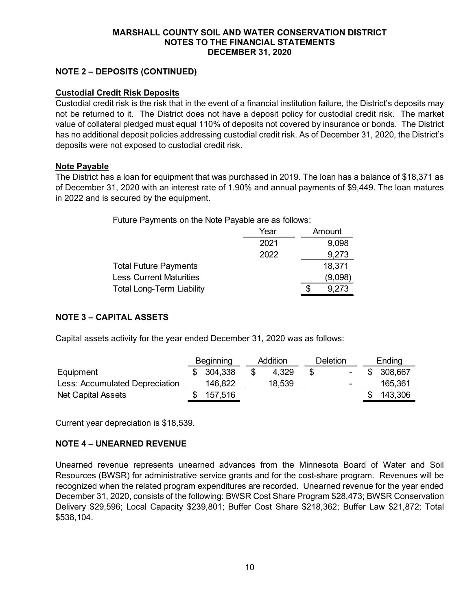# **NOTE 2 – DEPOSITS (CONTINUED)**

## **Custodial Credit Risk Deposits**

Custodial credit risk is the risk that in the event of a financial institution failure, the District's deposits may not be returned to it. The District does not have a deposit policy for custodial credit risk. The market value of collateral pledged must equal 110% of deposits not covered by insurance or bonds. The District has no additional deposit policies addressing custodial credit risk. As of December 31, 2020, the District's deposits were not exposed to custodial credit risk.

## **Note Payable**

The District has a loan for equipment that was purchased in 2019. The loan has a balance of \$18,371 as of December 31, 2020 with an interest rate of 1.90% and annual payments of \$9,449. The loan matures in 2022 and is secured by the equipment.

|                                  | Year | Amount  |
|----------------------------------|------|---------|
|                                  | 2021 | 9,098   |
|                                  | 2022 | 9,273   |
| <b>Total Future Payments</b>     |      | 18,371  |
| <b>Less Current Maturities</b>   |      | (9,098) |
| <b>Total Long-Term Liability</b> |      | 9,273   |

Future Payments on the Note Payable are as follows:

# **NOTE 3 – CAPITAL ASSETS**

Capital assets activity for the year ended December 31, 2020 was as follows:

|                                | Beginning |            | Addition |        | <b>Deletion</b> |   | Ending |            |
|--------------------------------|-----------|------------|----------|--------|-----------------|---|--------|------------|
| Equipment                      |           | \$ 304.338 |          | 4.329  |                 |   |        | \$ 308,667 |
| Less: Accumulated Depreciation |           | 146,822    |          | 18,539 |                 | - |        | 165,361    |
| Net Capital Assets             |           | 157,516    |          |        |                 |   |        | 143,306    |

Current year depreciation is \$18,539.

# **NOTE 4 – UNEARNED REVENUE**

Unearned revenue represents unearned advances from the Minnesota Board of Water and Soil Resources (BWSR) for administrative service grants and for the cost-share program. Revenues will be recognized when the related program expenditures are recorded. Unearned revenue for the year ended December 31, 2020, consists of the following: BWSR Cost Share Program \$28,473; BWSR Conservation Delivery \$29,596; Local Capacity \$239,801; Buffer Cost Share \$218,362; Buffer Law \$21,872; Total \$538,104.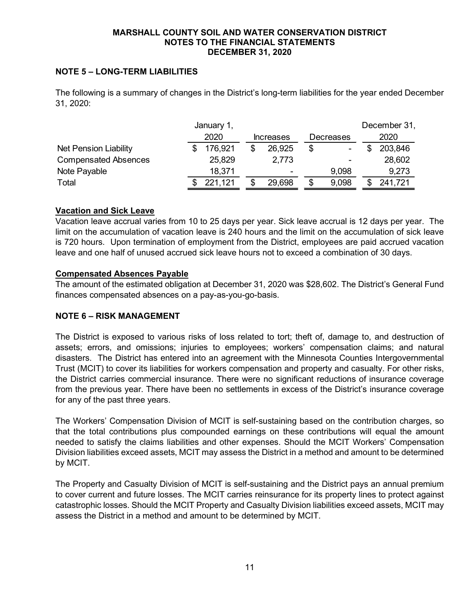# **NOTE 5 – LONG-TERM LIABILITIES**

The following is a summary of changes in the District's long-term liabilities for the year ended December 31, 2020:

|                              | January 1, |                  |                          | December 31, |
|------------------------------|------------|------------------|--------------------------|--------------|
|                              | 2020       | <b>Increases</b> | Decreases                | 2020         |
| <b>Net Pension Liability</b> | 176,921    | 26,925           |                          | 203,846      |
| <b>Compensated Absences</b>  | 25,829     | 2,773            | $\overline{\phantom{0}}$ | 28,602       |
| Note Payable                 | 18,371     |                  | 9,098                    | 9,273        |
| Total                        | 221,121    | 29,698           | 9,098                    | 241,721      |

# **Vacation and Sick Leave**

Vacation leave accrual varies from 10 to 25 days per year. Sick leave accrual is 12 days per year. The limit on the accumulation of vacation leave is 240 hours and the limit on the accumulation of sick leave is 720 hours. Upon termination of employment from the District, employees are paid accrued vacation leave and one half of unused accrued sick leave hours not to exceed a combination of 30 days.

# **Compensated Absences Payable**

The amount of the estimated obligation at December 31, 2020 was \$28,602. The District's General Fund finances compensated absences on a pay-as-you-go-basis.

# **NOTE 6 – RISK MANAGEMENT**

The District is exposed to various risks of loss related to tort; theft of, damage to, and destruction of assets; errors, and omissions; injuries to employees; workers' compensation claims; and natural disasters. The District has entered into an agreement with the Minnesota Counties Intergovernmental Trust (MCIT) to cover its liabilities for workers compensation and property and casualty. For other risks, the District carries commercial insurance. There were no significant reductions of insurance coverage from the previous year. There have been no settlements in excess of the District's insurance coverage for any of the past three years.

The Workers' Compensation Division of MCIT is self-sustaining based on the contribution charges, so that the total contributions plus compounded earnings on these contributions will equal the amount needed to satisfy the claims liabilities and other expenses. Should the MCIT Workers' Compensation Division liabilities exceed assets, MCIT may assess the District in a method and amount to be determined by MCIT.

The Property and Casualty Division of MCIT is self-sustaining and the District pays an annual premium to cover current and future losses. The MCIT carries reinsurance for its property lines to protect against catastrophic losses. Should the MCIT Property and Casualty Division liabilities exceed assets, MCIT may assess the District in a method and amount to be determined by MCIT.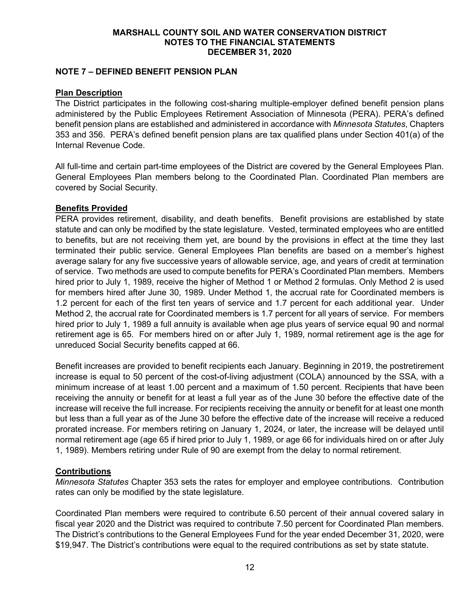## **NOTE 7 – DEFINED BENEFIT PENSION PLAN**

### **Plan Description**

The District participates in the following cost-sharing multiple-employer defined benefit pension plans administered by the Public Employees Retirement Association of Minnesota (PERA). PERA's defined benefit pension plans are established and administered in accordance with *Minnesota Statutes*, Chapters 353 and 356. PERA's defined benefit pension plans are tax qualified plans under Section 401(a) of the Internal Revenue Code.

All full-time and certain part-time employees of the District are covered by the General Employees Plan. General Employees Plan members belong to the Coordinated Plan. Coordinated Plan members are covered by Social Security.

#### **Benefits Provided**

PERA provides retirement, disability, and death benefits. Benefit provisions are established by state statute and can only be modified by the state legislature. Vested, terminated employees who are entitled to benefits, but are not receiving them yet, are bound by the provisions in effect at the time they last terminated their public service. General Employees Plan benefits are based on a member's highest average salary for any five successive years of allowable service, age, and years of credit at termination of service. Two methods are used to compute benefits for PERA's Coordinated Plan members. Members hired prior to July 1, 1989, receive the higher of Method 1 or Method 2 formulas. Only Method 2 is used for members hired after June 30, 1989. Under Method 1, the accrual rate for Coordinated members is 1.2 percent for each of the first ten years of service and 1.7 percent for each additional year. Under Method 2, the accrual rate for Coordinated members is 1.7 percent for all years of service. For members hired prior to July 1, 1989 a full annuity is available when age plus years of service equal 90 and normal retirement age is 65. For members hired on or after July 1, 1989, normal retirement age is the age for unreduced Social Security benefits capped at 66.

Benefit increases are provided to benefit recipients each January. Beginning in 2019, the postretirement increase is equal to 50 percent of the cost-of-living adjustment (COLA) announced by the SSA, with a minimum increase of at least 1.00 percent and a maximum of 1.50 percent. Recipients that have been receiving the annuity or benefit for at least a full year as of the June 30 before the effective date of the increase will receive the full increase. For recipients receiving the annuity or benefit for at least one month but less than a full year as of the June 30 before the effective date of the increase will receive a reduced prorated increase. For members retiring on January 1, 2024, or later, the increase will be delayed until normal retirement age (age 65 if hired prior to July 1, 1989, or age 66 for individuals hired on or after July 1, 1989). Members retiring under Rule of 90 are exempt from the delay to normal retirement.

#### **Contributions**

*Minnesota Statutes* Chapter 353 sets the rates for employer and employee contributions. Contribution rates can only be modified by the state legislature.

Coordinated Plan members were required to contribute 6.50 percent of their annual covered salary in fiscal year 2020 and the District was required to contribute 7.50 percent for Coordinated Plan members. The District's contributions to the General Employees Fund for the year ended December 31, 2020, were \$19,947. The District's contributions were equal to the required contributions as set by state statute.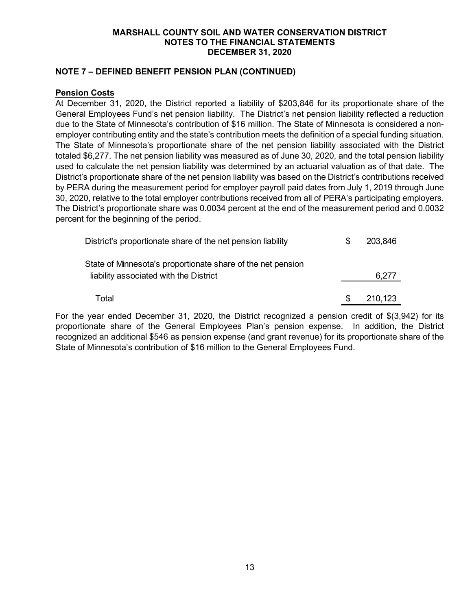# **NOTE 7 – DEFINED BENEFIT PENSION PLAN (CONTINUED)**

## **Pension Costs**

At December 31, 2020, the District reported a liability of \$203,846 for its proportionate share of the General Employees Fund's net pension liability. The District's net pension liability reflected a reduction due to the State of Minnesota's contribution of \$16 million. The State of Minnesota is considered a nonemployer contributing entity and the state's contribution meets the definition of a special funding situation. The State of Minnesota's proportionate share of the net pension liability associated with the District totaled \$6,277. The net pension liability was measured as of June 30, 2020, and the total pension liability used to calculate the net pension liability was determined by an actuarial valuation as of that date. The District's proportionate share of the net pension liability was based on the District's contributions received by PERA during the measurement period for employer payroll paid dates from July 1, 2019 through June 30, 2020, relative to the total employer contributions received from all of PERA's participating employers. The District's proportionate share was 0.0034 percent at the end of the measurement period and 0.0032 percent for the beginning of the period.

| District's proportionate share of the net pension liability | 203,846 |
|-------------------------------------------------------------|---------|
| State of Minnesota's proportionate share of the net pension |         |
| liability associated with the District                      | 6,277   |
| Total                                                       | 210,123 |

For the year ended December 31, 2020, the District recognized a pension credit of \$(3,942) for its proportionate share of the General Employees Plan's pension expense. In addition, the District recognized an additional \$546 as pension expense (and grant revenue) for its proportionate share of the State of Minnesota's contribution of \$16 million to the General Employees Fund.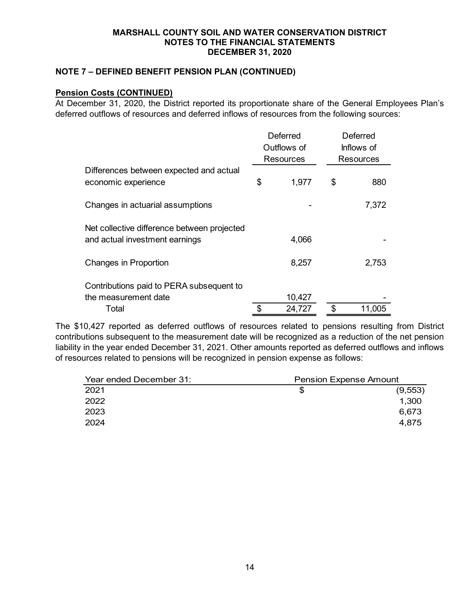# **NOTE 7 – DEFINED BENEFIT PENSION PLAN (CONTINUED)**

#### **Pension Costs (CONTINUED)**

At December 31, 2020, the District reported its proportionate share of the General Employees Plan's deferred outflows of resources and deferred inflows of resources from the following sources:

|                                                                               | Deferred<br>Outflows of<br>Resources | Deferred<br>Inflows of<br>Resources |        |
|-------------------------------------------------------------------------------|--------------------------------------|-------------------------------------|--------|
| Differences between expected and actual<br>economic experience                | \$<br>1,977                          | \$                                  | 880    |
| Changes in actuarial assumptions                                              |                                      |                                     | 7,372  |
| Net collective difference between projected<br>and actual investment earnings | 4,066                                |                                     |        |
| <b>Changes in Proportion</b>                                                  | 8,257                                |                                     | 2,753  |
| Contributions paid to PERA subsequent to<br>the measurement date              | 10,427                               |                                     |        |
| Total                                                                         | \$<br>24,727                         | \$                                  | 11,005 |

The \$10,427 reported as deferred outflows of resources related to pensions resulting from District contributions subsequent to the measurement date will be recognized as a reduction of the net pension liability in the year ended December 31, 2021. Other amounts reported as deferred outflows and inflows of resources related to pensions will be recognized in pension expense as follows:

| Year ended December 31: | <b>Pension Expense Amount</b> |          |  |  |
|-------------------------|-------------------------------|----------|--|--|
| 2021                    |                               | (9, 553) |  |  |
| 2022                    |                               | 1,300    |  |  |
| 2023                    |                               | 6.673    |  |  |
| 2024                    |                               | 4.875    |  |  |
|                         |                               |          |  |  |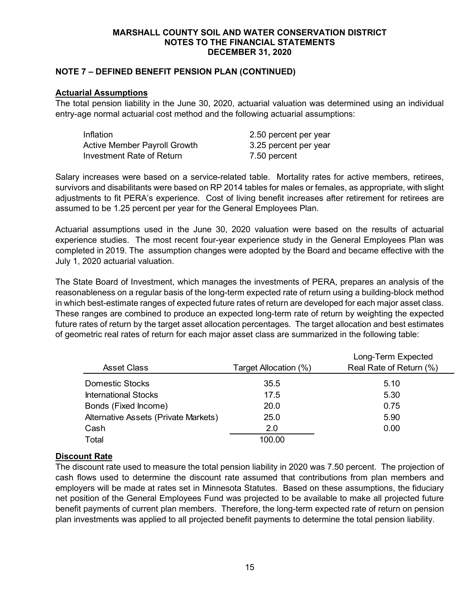# **NOTE 7 – DEFINED BENEFIT PENSION PLAN (CONTINUED)**

# **Actuarial Assumptions**

The total pension liability in the June 30, 2020, actuarial valuation was determined using an individual entry-age normal actuarial cost method and the following actuarial assumptions:

| <b>Inflation</b>             | 2.50 percent per year |
|------------------------------|-----------------------|
| Active Member Payroll Growth | 3.25 percent per year |
| Investment Rate of Return    | 7.50 percent          |

Salary increases were based on a service-related table. Mortality rates for active members, retirees, survivors and disabilitants were based on RP 2014 tables for males or females, as appropriate, with slight adjustments to fit PERA's experience. Cost of living benefit increases after retirement for retirees are assumed to be 1.25 percent per year for the General Employees Plan.

Actuarial assumptions used in the June 30, 2020 valuation were based on the results of actuarial experience studies. The most recent four-year experience study in the General Employees Plan was completed in 2019. The assumption changes were adopted by the Board and became effective with the July 1, 2020 actuarial valuation.

The State Board of Investment, which manages the investments of PERA, prepares an analysis of the reasonableness on a regular basis of the long-term expected rate of return using a building-block method in which best-estimate ranges of expected future rates of return are developed for each major asset class. These ranges are combined to produce an expected long-term rate of return by weighting the expected future rates of return by the target asset allocation percentages. The target allocation and best estimates of geometric real rates of return for each major asset class are summarized in the following table:

|                                      |                       | Long-Term Expected      |
|--------------------------------------|-----------------------|-------------------------|
| <b>Asset Class</b>                   | Target Allocation (%) | Real Rate of Return (%) |
| Domestic Stocks                      | 35.5                  | 5.10                    |
| International Stocks                 | 17.5                  | 5.30                    |
| Bonds (Fixed Income)                 | 20.0                  | 0.75                    |
| Alternative Assets (Private Markets) | 25.0                  | 5.90                    |
| Cash                                 | 2.0                   | 0.00                    |
| Total                                | 100.00                |                         |

# **Discount Rate**

The discount rate used to measure the total pension liability in 2020 was 7.50 percent. The projection of cash flows used to determine the discount rate assumed that contributions from plan members and employers will be made at rates set in Minnesota Statutes. Based on these assumptions, the fiduciary net position of the General Employees Fund was projected to be available to make all projected future benefit payments of current plan members. Therefore, the long-term expected rate of return on pension plan investments was applied to all projected benefit payments to determine the total pension liability.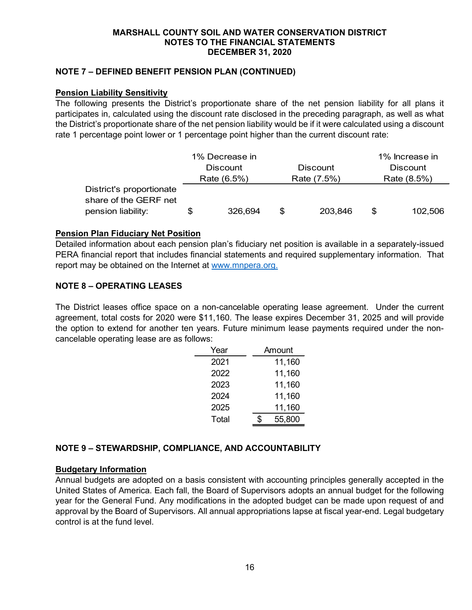# **NOTE 7 – DEFINED BENEFIT PENSION PLAN (CONTINUED)**

## **Pension Liability Sensitivity**

The following presents the District's proportionate share of the net pension liability for all plans it participates in, calculated using the discount rate disclosed in the preceding paragraph, as well as what the District's proportionate share of the net pension liability would be if it were calculated using a discount rate 1 percentage point lower or 1 percentage point higher than the current discount rate:

|                          |                 | 1% Decrease in |                 |             |                 | 1% Increase in |
|--------------------------|-----------------|----------------|-----------------|-------------|-----------------|----------------|
|                          | <b>Discount</b> |                | <b>Discount</b> |             | <b>Discount</b> |                |
|                          |                 | Rate (6.5%)    |                 | Rate (7.5%) |                 | Rate (8.5%)    |
| District's proportionate |                 |                |                 |             |                 |                |
| share of the GERF net    |                 |                |                 |             |                 |                |
| pension liability:       |                 | 326,694        | S               | 203,846     | S               | 102,506        |

## **Pension Plan Fiduciary Net Position**

Detailed information about each pension plan's fiduciary net position is available in a separately-issued PERA financial report that includes financial statements and required supplementary information. That report may be obtained on the Internet at [www.mnpera.org.](http://www.mnpera.org/)

# **NOTE 8 – OPERATING LEASES**

The District leases office space on a non-cancelable operating lease agreement. Under the current agreement, total costs for 2020 were \$11,160. The lease expires December 31, 2025 and will provide the option to extend for another ten years. Future minimum lease payments required under the noncancelable operating lease are as follows:

| Year  | Amount |
|-------|--------|
| 2021  | 11,160 |
| 2022  | 11,160 |
| 2023  | 11,160 |
| 2024  | 11,160 |
| 2025  | 11,160 |
| Total | 55,800 |

# **NOTE 9 – STEWARDSHIP, COMPLIANCE, AND ACCOUNTABILITY**

#### **Budgetary Information**

Annual budgets are adopted on a basis consistent with accounting principles generally accepted in the United States of America. Each fall, the Board of Supervisors adopts an annual budget for the following year for the General Fund. Any modifications in the adopted budget can be made upon request of and approval by the Board of Supervisors. All annual appropriations lapse at fiscal year-end. Legal budgetary control is at the fund level.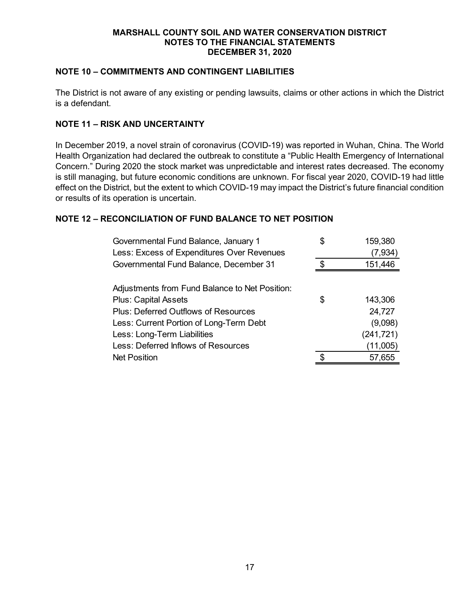# **NOTE 10 – COMMITMENTS AND CONTINGENT LIABILITIES**

The District is not aware of any existing or pending lawsuits, claims or other actions in which the District is a defendant.

# **NOTE 11 – RISK AND UNCERTAINTY**

In December 2019, a novel strain of coronavirus (COVID-19) was reported in Wuhan, China. The World Health Organization had declared the outbreak to constitute a "Public Health Emergency of International Concern." During 2020 the stock market was unpredictable and interest rates decreased. The economy is still managing, but future economic conditions are unknown. For fiscal year 2020, COVID-19 had little effect on the District, but the extent to which COVID-19 may impact the District's future financial condition or results of its operation is uncertain.

# **NOTE 12 – RECONCILIATION OF FUND BALANCE TO NET POSITION**

| Governmental Fund Balance, January 1           | \$<br>159,380 |
|------------------------------------------------|---------------|
| Less: Excess of Expenditures Over Revenues     | (7,934)       |
| Governmental Fund Balance, December 31         | 151,446       |
|                                                |               |
| Adjustments from Fund Balance to Net Position: |               |
| <b>Plus: Capital Assets</b>                    | \$<br>143,306 |
| <b>Plus: Deferred Outflows of Resources</b>    | 24,727        |
| Less: Current Portion of Long-Term Debt        | (9,098)       |
| Less: Long-Term Liabilities                    | (241, 721)    |
| Less: Deferred Inflows of Resources            | (11,005)      |
| <b>Net Position</b>                            | 57,655        |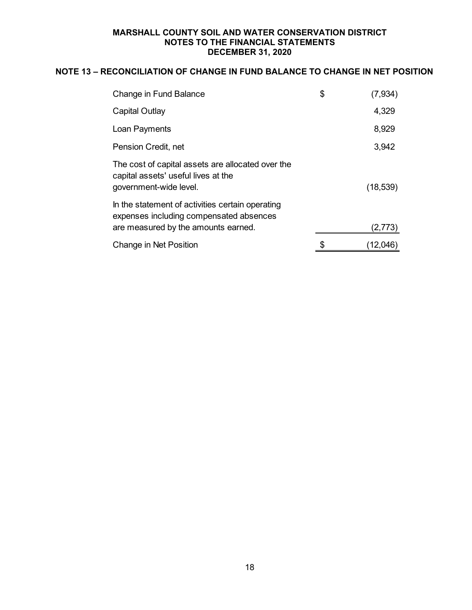# **NOTE 13 – RECONCILIATION OF CHANGE IN FUND BALANCE TO CHANGE IN NET POSITION**

| Change in Fund Balance                                                                                                             | \$<br>(7,934)  |
|------------------------------------------------------------------------------------------------------------------------------------|----------------|
| Capital Outlay                                                                                                                     | 4,329          |
| Loan Payments                                                                                                                      | 8,929          |
| Pension Credit, net                                                                                                                | 3,942          |
| The cost of capital assets are allocated over the<br>capital assets' useful lives at the<br>government-wide level.                 | (18, 539)      |
| In the statement of activities certain operating<br>expenses including compensated absences<br>are measured by the amounts earned. | (2,773)        |
| Change in Net Position                                                                                                             | \$<br>(12,046) |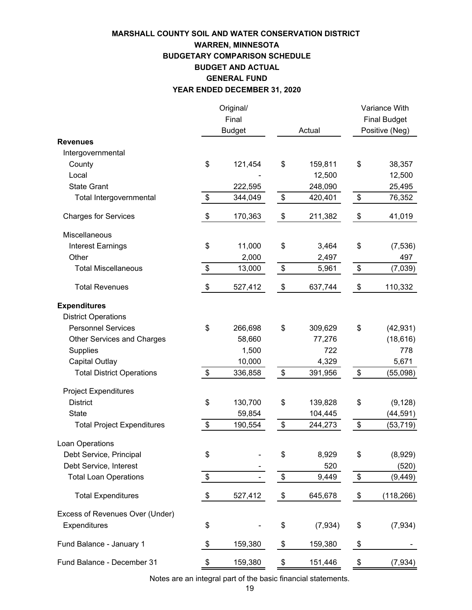# **MARSHALL COUNTY SOIL AND WATER CONSERVATION DISTRICT WARREN, MINNESOTA BUDGETARY COMPARISON SCHEDULE BUDGET AND ACTUAL GENERAL FUND YEAR ENDED DECEMBER 31, 2020**

|                                   |                            | Original/     |                            |          | Variance With                         |
|-----------------------------------|----------------------------|---------------|----------------------------|----------|---------------------------------------|
|                                   |                            | Final         |                            | Actual   | <b>Final Budget</b><br>Positive (Neg) |
| <b>Revenues</b>                   |                            | <b>Budget</b> |                            |          |                                       |
| Intergovernmental                 |                            |               |                            |          |                                       |
| County                            | \$                         | 121,454       | \$                         | 159,811  | \$<br>38,357                          |
| Local                             |                            |               |                            | 12,500   | 12,500                                |
| <b>State Grant</b>                |                            | 222,595       |                            | 248,090  | 25,495                                |
| Total Intergovernmental           | $\$\$                      | 344,049       | \$                         | 420,401  | \$<br>76,352                          |
| <b>Charges for Services</b>       | \$                         | 170,363       | \$                         | 211,382  | \$<br>41,019                          |
| Miscellaneous                     |                            |               |                            |          |                                       |
| <b>Interest Earnings</b>          | \$                         | 11,000        | \$                         | 3,464    | \$<br>(7, 536)                        |
| Other                             |                            | 2,000         |                            | 2,497    | 497                                   |
| <b>Total Miscellaneous</b>        | \$                         | 13,000        | \$                         | 5,961    | \$<br>(7,039)                         |
| <b>Total Revenues</b>             | \$                         | 527,412       | \$                         | 637,744  | \$<br>110,332                         |
| <b>Expenditures</b>               |                            |               |                            |          |                                       |
| <b>District Operations</b>        |                            |               |                            |          |                                       |
| <b>Personnel Services</b>         | \$                         | 266,698       | \$                         | 309,629  | \$<br>(42, 931)                       |
| Other Services and Charges        |                            | 58,660        |                            | 77,276   | (18, 616)                             |
| <b>Supplies</b>                   |                            | 1,500         |                            | 722      | 778                                   |
| <b>Capital Outlay</b>             |                            | 10,000        |                            | 4,329    | 5,671                                 |
| <b>Total District Operations</b>  | \$                         | 336,858       | \$                         | 391,956  | \$<br>(55,098)                        |
| <b>Project Expenditures</b>       |                            |               |                            |          |                                       |
| <b>District</b>                   | \$                         | 130,700       | \$                         | 139,828  | \$<br>(9, 128)                        |
| <b>State</b>                      |                            | 59,854        |                            | 104,445  | (44, 591)                             |
| <b>Total Project Expenditures</b> | \$                         | 190,554       | \$                         | 244,273  | \$<br>(53, 719)                       |
| Loan Operations                   |                            |               |                            |          |                                       |
| Debt Service, Principal           | \$                         |               | \$                         | 8,929    | \$<br>(8,929)                         |
| Debt Service, Interest            |                            |               |                            | 520      | (520)                                 |
| <b>Total Loan Operations</b>      | $\boldsymbol{\mathcal{L}}$ |               | $\boldsymbol{\mathsf{\$}}$ | 9,449    | \$<br>(9, 449)                        |
| <b>Total Expenditures</b>         | \$                         | 527,412       | \$                         | 645,678  | \$<br>(118, 266)                      |
| Excess of Revenues Over (Under)   |                            |               |                            |          |                                       |
| Expenditures                      | \$                         |               | \$                         | (7, 934) | \$<br>(7, 934)                        |
| Fund Balance - January 1          | \$                         | 159,380       | \$                         | 159,380  | \$                                    |
| Fund Balance - December 31        | \$                         | 159,380       | \$                         | 151,446  | \$<br>(7, 934)                        |

Notes are an integral part of the basic financial statements.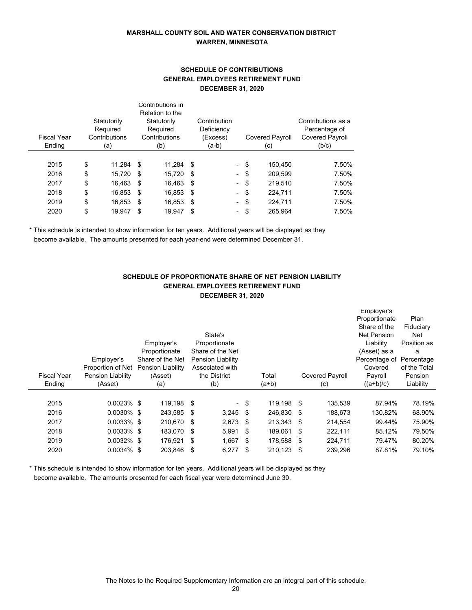#### **MARSHALL COUNTY SOIL AND WATER CONSERVATION DISTRICT WARREN, MINNESOTA**

#### **SCHEDULE OF CONTRIBUTIONS GENERAL EMPLOYEES RETIREMENT FUND DECEMBER 31, 2020**

|                    |               |      | Contributions in<br>Relation to the |      |              |        |                 |                        |
|--------------------|---------------|------|-------------------------------------|------|--------------|--------|-----------------|------------------------|
|                    | Statutorily   |      | Statutorily                         |      | Contribution |        |                 | Contributions as a     |
|                    | Required      |      | Required                            |      | Deficiency   |        |                 | Percentage of          |
| <b>Fiscal Year</b> | Contributions |      | Contributions                       |      | (Excess)     |        | Covered Payroll | <b>Covered Payroll</b> |
| Ending             | (a)           |      | (b)                                 |      | (a-b)        |        | (c)             | (b/c)                  |
|                    |               |      |                                     |      |              |        |                 |                        |
| 2015               | \$<br>11.284  | - \$ | 11.284                              | - \$ |              | $\sim$ | \$<br>150.450   | 7.50%                  |
| 2016               | \$<br>15.720  | \$   | 15.720                              | - \$ |              | $\sim$ | \$<br>209,599   | 7.50%                  |
| 2017               | \$<br>16.463  | - \$ | 16.463                              | - \$ |              | $\sim$ | \$<br>219.510   | 7.50%                  |
| 2018               | \$<br>16.853  | - \$ | 16,853                              | - \$ |              | $\sim$ | \$<br>224.711   | 7.50%                  |
| 2019               | \$<br>16.853  | -\$  | 16,853                              | \$   |              | $\sim$ | \$<br>224.711   | 7.50%                  |
| 2020               | \$<br>19.947  | \$   | 19.947                              | \$   |              | $\sim$ | \$<br>265.964   | 7.50%                  |
|                    |               |      |                                     |      |              |        |                 |                        |

\* This schedule is intended to show information for ten years. Additional years will be displayed as they become available. The amounts presented for each year-end were determined December 31.

#### **SCHEDULE OF PROPORTIONATE SHARE OF NET PENSION LIABILITY GENERAL EMPLOYEES RETIREMENT FUND DECEMBER 31, 2020**

|                    |                   |                          |                    |                |            |                        | Employer's         |              |
|--------------------|-------------------|--------------------------|--------------------|----------------|------------|------------------------|--------------------|--------------|
|                    |                   |                          |                    |                |            |                        | Proportionate      | Plan         |
|                    |                   |                          |                    |                |            |                        | Share of the       | Fiduciary    |
|                    |                   |                          | State's            |                |            |                        | <b>Net Pension</b> | Net          |
|                    |                   | Employer's               | Proportionate      |                |            |                        | Liability          | Position as  |
|                    |                   | Proportionate            | Share of the Net   |                |            |                        | (Asset) as a       | a            |
|                    | Employer's        | Share of the Net         | Pension Liability  |                |            |                        | Percentage of      | Percentage   |
|                    | Proportion of Net | <b>Pension Liability</b> | Associated with    |                |            |                        | Covered            | of the Total |
| <b>Fiscal Year</b> | Pension Liability | (Asset)                  | the District       | Total          |            | <b>Covered Payroll</b> | Payroll            | Pension      |
|                    |                   |                          |                    |                |            |                        |                    |              |
| Ending             | (Asset)           | (a)                      | (b)                | $(a+b)$        |            | (c)                    | $((a+b)/c)$        | Liability    |
|                    |                   |                          |                    |                |            |                        |                    |              |
| 2015               | $0.0023\%$ \$     | 119,198 \$               |                    | - \$           | 119,198 \$ | 135,539                | 87.94%             | 78.19%       |
| 2016               | $0.0030\%$ \$     | 243,585 \$               | $3,245$ \$         |                | 246,830 \$ | 188,673                | 130.82%            | 68.90%       |
| 2017               | $0.0033\%$ \$     | 210.670                  | $2,673$ \$<br>-\$  |                | 213,343 \$ | 214,554                | 99.44%             | 75.90%       |
| 2018               | $0.0033\%$ \$     | 183.070                  | $5,991$ \$<br>- \$ | 189,061        | -\$        | 222,111                | 85.12%             | 79.50%       |
| 2019               | $0.0032\%$ \$     | 176.921 \$               | 1,667              | 178,588<br>-\$ | - \$       | 224.711                | 79.47%             | 80.20%       |

\* This schedule is intended to show information for ten years. Additional years will be displayed as they become available. The amounts presented for each fiscal year were determined June 30.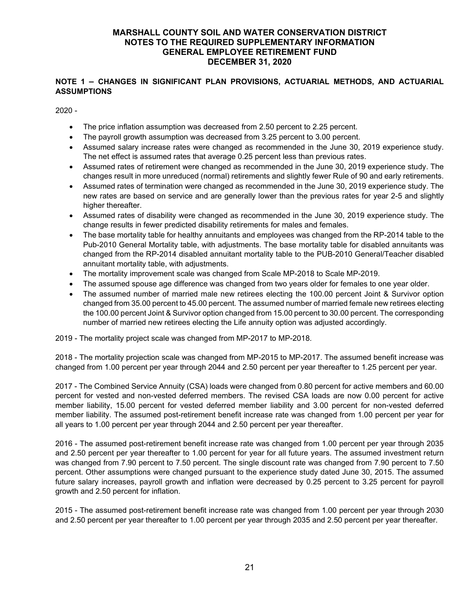## **MARSHALL COUNTY SOIL AND WATER CONSERVATION DISTRICT NOTES TO THE REQUIRED SUPPLEMENTARY INFORMATION GENERAL EMPLOYEE RETIREMENT FUND DECEMBER 31, 2020**

### **NOTE 1 – CHANGES IN SIGNIFICANT PLAN PROVISIONS, ACTUARIAL METHODS, AND ACTUARIAL ASSUMPTIONS**

2020 -

- The price inflation assumption was decreased from 2.50 percent to 2.25 percent.
- The payroll growth assumption was decreased from 3.25 percent to 3.00 percent.
- Assumed salary increase rates were changed as recommended in the June 30, 2019 experience study. The net effect is assumed rates that average 0.25 percent less than previous rates.
- Assumed rates of retirement were changed as recommended in the June 30, 2019 experience study. The changes result in more unreduced (normal) retirements and slightly fewer Rule of 90 and early retirements.
- Assumed rates of termination were changed as recommended in the June 30, 2019 experience study. The new rates are based on service and are generally lower than the previous rates for year 2-5 and slightly higher thereafter.
- Assumed rates of disability were changed as recommended in the June 30, 2019 experience study. The change results in fewer predicted disability retirements for males and females.
- The base mortality table for healthy annuitants and employees was changed from the RP-2014 table to the Pub-2010 General Mortality table, with adjustments. The base mortality table for disabled annuitants was changed from the RP-2014 disabled annuitant mortality table to the PUB-2010 General/Teacher disabled annuitant mortality table, with adjustments.
- The mortality improvement scale was changed from Scale MP-2018 to Scale MP-2019.
- The assumed spouse age difference was changed from two years older for females to one year older.
- The assumed number of married male new retirees electing the 100.00 percent Joint & Survivor option changed from 35.00 percent to 45.00 percent. The assumed number of married female new retirees electing the 100.00 percent Joint & Survivor option changed from 15.00 percent to 30.00 percent. The corresponding number of married new retirees electing the Life annuity option was adjusted accordingly.

2019 - The mortality project scale was changed from MP-2017 to MP-2018.

2018 - The mortality projection scale was changed from MP-2015 to MP-2017. The assumed benefit increase was changed from 1.00 percent per year through 2044 and 2.50 percent per year thereafter to 1.25 percent per year.

2017 - The Combined Service Annuity (CSA) loads were changed from 0.80 percent for active members and 60.00 percent for vested and non-vested deferred members. The revised CSA loads are now 0.00 percent for active member liability, 15.00 percent for vested deferred member liability and 3.00 percent for non-vested deferred member liability. The assumed post-retirement benefit increase rate was changed from 1.00 percent per year for all years to 1.00 percent per year through 2044 and 2.50 percent per year thereafter.

2016 - The assumed post-retirement benefit increase rate was changed from 1.00 percent per year through 2035 and 2.50 percent per year thereafter to 1.00 percent for year for all future years. The assumed investment return was changed from 7.90 percent to 7.50 percent. The single discount rate was changed from 7.90 percent to 7.50 percent. Other assumptions were changed pursuant to the experience study dated June 30, 2015. The assumed future salary increases, payroll growth and inflation were decreased by 0.25 percent to 3.25 percent for payroll growth and 2.50 percent for inflation.

2015 - The assumed post-retirement benefit increase rate was changed from 1.00 percent per year through 2030 and 2.50 percent per year thereafter to 1.00 percent per year through 2035 and 2.50 percent per year thereafter.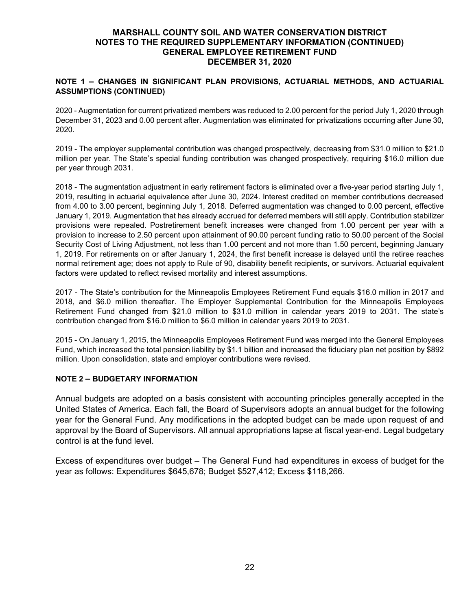### **MARSHALL COUNTY SOIL AND WATER CONSERVATION DISTRICT NOTES TO THE REQUIRED SUPPLEMENTARY INFORMATION (CONTINUED) GENERAL EMPLOYEE RETIREMENT FUND DECEMBER 31, 2020**

### **NOTE 1 – CHANGES IN SIGNIFICANT PLAN PROVISIONS, ACTUARIAL METHODS, AND ACTUARIAL ASSUMPTIONS (CONTINUED)**

2020 - Augmentation for current privatized members was reduced to 2.00 percent for the period July 1, 2020 through December 31, 2023 and 0.00 percent after. Augmentation was eliminated for privatizations occurring after June 30, 2020.

2019 - The employer supplemental contribution was changed prospectively, decreasing from \$31.0 million to \$21.0 million per year. The State's special funding contribution was changed prospectively, requiring \$16.0 million due per year through 2031.

2018 - The augmentation adjustment in early retirement factors is eliminated over a five-year period starting July 1, 2019, resulting in actuarial equivalence after June 30, 2024. Interest credited on member contributions decreased from 4.00 to 3.00 percent, beginning July 1, 2018. Deferred augmentation was changed to 0.00 percent, effective January 1, 2019. Augmentation that has already accrued for deferred members will still apply. Contribution stabilizer provisions were repealed. Postretirement benefit increases were changed from 1.00 percent per year with a provision to increase to 2.50 percent upon attainment of 90.00 percent funding ratio to 50.00 percent of the Social Security Cost of Living Adjustment, not less than 1.00 percent and not more than 1.50 percent, beginning January 1, 2019. For retirements on or after January 1, 2024, the first benefit increase is delayed until the retiree reaches normal retirement age; does not apply to Rule of 90, disability benefit recipients, or survivors. Actuarial equivalent factors were updated to reflect revised mortality and interest assumptions.

2017 - The State's contribution for the Minneapolis Employees Retirement Fund equals \$16.0 million in 2017 and 2018, and \$6.0 million thereafter. The Employer Supplemental Contribution for the Minneapolis Employees Retirement Fund changed from \$21.0 million to \$31.0 million in calendar years 2019 to 2031. The state's contribution changed from \$16.0 million to \$6.0 million in calendar years 2019 to 2031.

2015 - On January 1, 2015, the Minneapolis Employees Retirement Fund was merged into the General Employees Fund, which increased the total pension liability by \$1.1 billion and increased the fiduciary plan net position by \$892 million. Upon consolidation, state and employer contributions were revised.

#### **NOTE 2 – BUDGETARY INFORMATION**

Annual budgets are adopted on a basis consistent with accounting principles generally accepted in the United States of America. Each fall, the Board of Supervisors adopts an annual budget for the following year for the General Fund. Any modifications in the adopted budget can be made upon request of and approval by the Board of Supervisors. All annual appropriations lapse at fiscal year-end. Legal budgetary control is at the fund level.

Excess of expenditures over budget – The General Fund had expenditures in excess of budget for the year as follows: Expenditures \$645,678; Budget \$527,412; Excess \$118,266.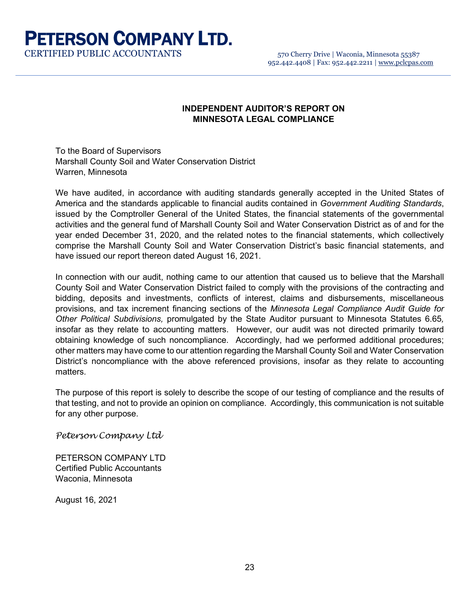**PETERSON COMPANY LTD.**<br>CERTIFIED PUBLIC ACCOUNTANTS 570 Cherry Drive | Waconia, Minnesota 55387

# **INDEPENDENT AUDITOR'S REPORT ON MINNESOTA LEGAL COMPLIANCE**

To the Board of Supervisors Marshall County Soil and Water Conservation District Warren, Minnesota

We have audited, in accordance with auditing standards generally accepted in the United States of America and the standards applicable to financial audits contained in *Government Auditing Standards*, issued by the Comptroller General of the United States, the financial statements of the governmental activities and the general fund of Marshall County Soil and Water Conservation District as of and for the year ended December 31, 2020, and the related notes to the financial statements, which collectively comprise the Marshall County Soil and Water Conservation District's basic financial statements, and have issued our report thereon dated August 16, 2021.

In connection with our audit, nothing came to our attention that caused us to believe that the Marshall County Soil and Water Conservation District failed to comply with the provisions of the contracting and bidding, deposits and investments, conflicts of interest, claims and disbursements, miscellaneous provisions, and tax increment financing sections of the *Minnesota Legal Compliance Audit Guide for Other Political Subdivisions,* promulgated by the State Auditor pursuant to Minnesota Statutes 6.65*,*  insofar as they relate to accounting matters. However, our audit was not directed primarily toward obtaining knowledge of such noncompliance. Accordingly, had we performed additional procedures; other matters may have come to our attention regarding the Marshall County Soil and Water Conservation District's noncompliance with the above referenced provisions, insofar as they relate to accounting matters.

The purpose of this report is solely to describe the scope of our testing of compliance and the results of that testing, and not to provide an opinion on compliance. Accordingly, this communication is not suitable for any other purpose.

*Peterson Company Ltd*

PETERSON COMPANY LTD Certified Public Accountants Waconia, Minnesota

August 16, 2021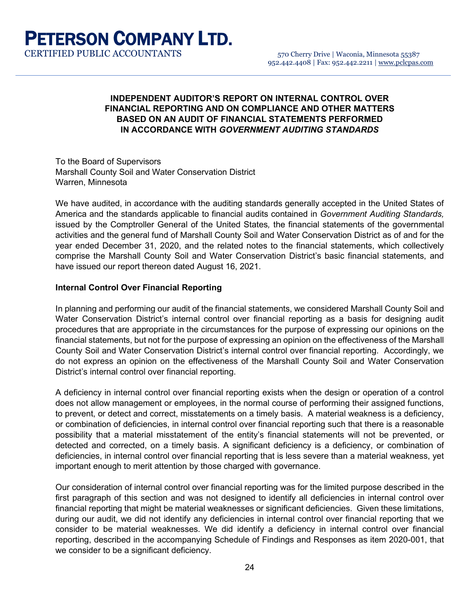# **INDEPENDENT AUDITOR'S REPORT ON INTERNAL CONTROL OVER FINANCIAL REPORTING AND ON COMPLIANCE AND OTHER MATTERS BASED ON AN AUDIT OF FINANCIAL STATEMENTS PERFORMED IN ACCORDANCE WITH** *GOVERNMENT AUDITING STANDARDS*

To the Board of Supervisors Marshall County Soil and Water Conservation District Warren, Minnesota

We have audited, in accordance with the auditing standards generally accepted in the United States of America and the standards applicable to financial audits contained in *Government Auditing Standards,* issued by the Comptroller General of the United States*,* the financial statements of the governmental activities and the general fund of Marshall County Soil and Water Conservation District as of and for the year ended December 31, 2020, and the related notes to the financial statements, which collectively comprise the Marshall County Soil and Water Conservation District's basic financial statements, and have issued our report thereon dated August 16, 2021.

# **Internal Control Over Financial Reporting**

In planning and performing our audit of the financial statements, we considered Marshall County Soil and Water Conservation District's internal control over financial reporting as a basis for designing audit procedures that are appropriate in the circumstances for the purpose of expressing our opinions on the financial statements, but not for the purpose of expressing an opinion on the effectiveness of the Marshall County Soil and Water Conservation District's internal control over financial reporting. Accordingly, we do not express an opinion on the effectiveness of the Marshall County Soil and Water Conservation District's internal control over financial reporting.

A deficiency in internal control over financial reporting exists when the design or operation of a control does not allow management or employees, in the normal course of performing their assigned functions, to prevent, or detect and correct, misstatements on a timely basis. A material weakness is a deficiency, or combination of deficiencies, in internal control over financial reporting such that there is a reasonable possibility that a material misstatement of the entity's financial statements will not be prevented, or detected and corrected, on a timely basis. A significant deficiency is a deficiency, or combination of deficiencies, in internal control over financial reporting that is less severe than a material weakness, yet important enough to merit attention by those charged with governance.

Our consideration of internal control over financial reporting was for the limited purpose described in the first paragraph of this section and was not designed to identify all deficiencies in internal control over financial reporting that might be material weaknesses or significant deficiencies. Given these limitations, during our audit, we did not identify any deficiencies in internal control over financial reporting that we consider to be material weaknesses. We did identify a deficiency in internal control over financial reporting, described in the accompanying Schedule of Findings and Responses as item 2020-001, that we consider to be a significant deficiency.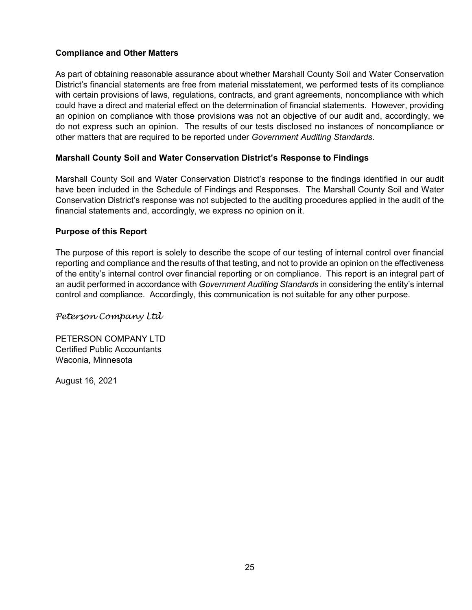# **Compliance and Other Matters**

As part of obtaining reasonable assurance about whether Marshall County Soil and Water Conservation District's financial statements are free from material misstatement, we performed tests of its compliance with certain provisions of laws, regulations, contracts, and grant agreements, noncompliance with which could have a direct and material effect on the determination of financial statements. However, providing an opinion on compliance with those provisions was not an objective of our audit and, accordingly, we do not express such an opinion. The results of our tests disclosed no instances of noncompliance or other matters that are required to be reported under *Government Auditing Standards*.

# **Marshall County Soil and Water Conservation District's Response to Findings**

Marshall County Soil and Water Conservation District's response to the findings identified in our audit have been included in the Schedule of Findings and Responses. The Marshall County Soil and Water Conservation District's response was not subjected to the auditing procedures applied in the audit of the financial statements and, accordingly, we express no opinion on it.

# **Purpose of this Report**

The purpose of this report is solely to describe the scope of our testing of internal control over financial reporting and compliance and the results of that testing, and not to provide an opinion on the effectiveness of the entity's internal control over financial reporting or on compliance. This report is an integral part of an audit performed in accordance with *Government Auditing Standards* in considering the entity's internal control and compliance. Accordingly, this communication is not suitable for any other purpose.

*Peterson Company Ltd*

PETERSON COMPANY LTD Certified Public Accountants Waconia, Minnesota

August 16, 2021